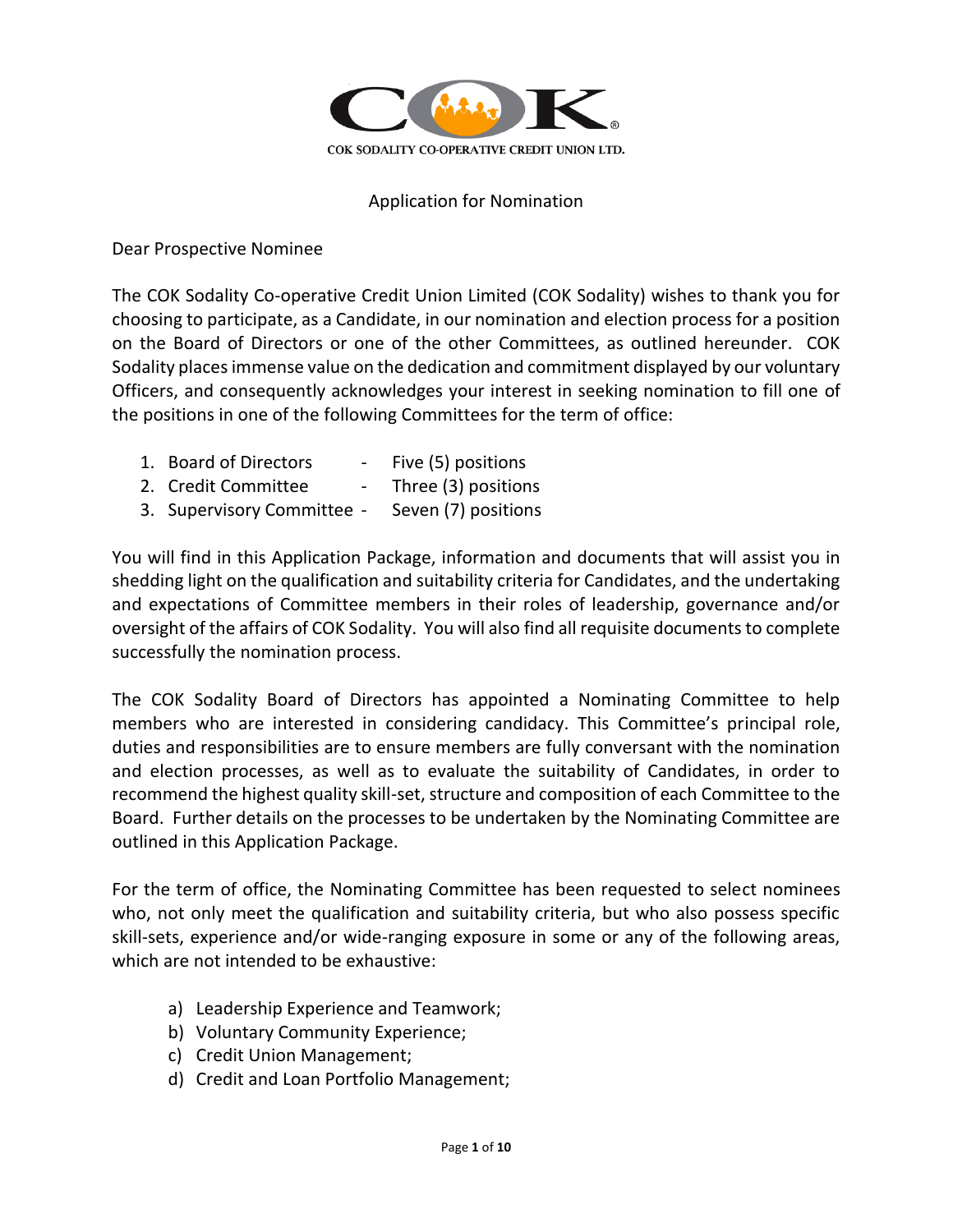

#### Application for Nomination

Dear Prospective Nominee

The COK Sodality Co-operative Credit Union Limited (COK Sodality) wishes to thank you for choosing to participate, as a Candidate, in our nomination and election process for a position on the Board of Directors or one of the other Committees, as outlined hereunder. COK Sodality places immense value on the dedication and commitment displayed by our voluntary Officers, and consequently acknowledges your interest in seeking nomination to fill one of the positions in one of the following Committees for the term of office:

- 1. Board of Directors Five (5) positions 2. Credit Committee - Three (3) positions
- 3. Supervisory Committee Seven (7) positions

You will find in this Application Package, information and documents that will assist you in shedding light on the qualification and suitability criteria for Candidates, and the undertaking and expectations of Committee members in their roles of leadership, governance and/or oversight of the affairs of COK Sodality. You will also find all requisite documents to complete successfully the nomination process.

The COK Sodality Board of Directors has appointed a Nominating Committee to help members who are interested in considering candidacy. This Committee's principal role, duties and responsibilities are to ensure members are fully conversant with the nomination and election processes, as well as to evaluate the suitability of Candidates, in order to recommend the highest quality skill-set, structure and composition of each Committee to the Board. Further details on the processes to be undertaken by the Nominating Committee are outlined in this Application Package.

For the term of office, the Nominating Committee has been requested to select nominees who, not only meet the qualification and suitability criteria, but who also possess specific skill-sets, experience and/or wide-ranging exposure in some or any of the following areas, which are not intended to be exhaustive:

- a) Leadership Experience and Teamwork;
- b) Voluntary Community Experience;
- c) Credit Union Management;
- d) Credit and Loan Portfolio Management;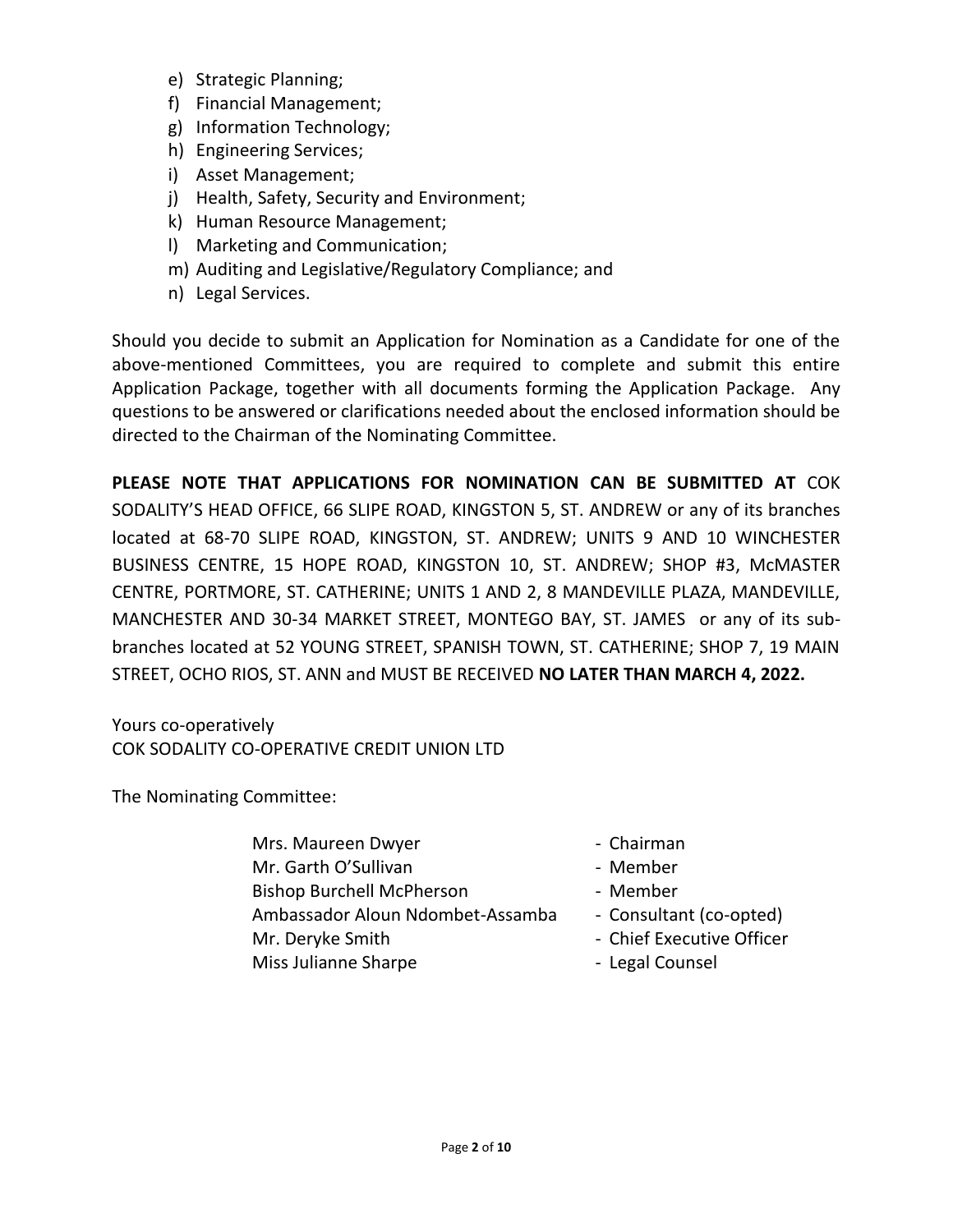- e) Strategic Planning;
- f) Financial Management;
- g) Information Technology;
- h) Engineering Services;
- i) Asset Management;
- j) Health, Safety, Security and Environment;
- k) Human Resource Management;
- l) Marketing and Communication;
- m) Auditing and Legislative/Regulatory Compliance; and
- n) Legal Services.

Should you decide to submit an Application for Nomination as a Candidate for one of the above-mentioned Committees, you are required to complete and submit this entire Application Package, together with all documents forming the Application Package. Any questions to be answered or clarifications needed about the enclosed information should be directed to the Chairman of the Nominating Committee.

**PLEASE NOTE THAT APPLICATIONS FOR NOMINATION CAN BE SUBMITTED AT** COK SODALITY'S HEAD OFFICE, 66 SLIPE ROAD, KINGSTON 5, ST. ANDREW or any of its branches located at 68-70 SLIPE ROAD, KINGSTON, ST. ANDREW; UNITS 9 AND 10 WINCHESTER BUSINESS CENTRE, 15 HOPE ROAD, KINGSTON 10, ST. ANDREW; SHOP #3, McMASTER CENTRE, PORTMORE, ST. CATHERINE; UNITS 1 AND 2, 8 MANDEVILLE PLAZA, MANDEVILLE, MANCHESTER AND 30-34 MARKET STREET, MONTEGO BAY, ST. JAMES or any of its subbranches located at 52 YOUNG STREET, SPANISH TOWN, ST. CATHERINE; SHOP 7, 19 MAIN STREET, OCHO RIOS, ST. ANN and MUST BE RECEIVED **NO LATER THAN MARCH 4, 2022.**

Yours co-operatively COK SODALITY CO-OPERATIVE CREDIT UNION LTD

The Nominating Committee:

- Mrs. Maureen Dwyer  **Chairman** Mr. Garth O'Sullivan - Member Bishop Burchell McPherson - Member Ambassador Aloun Ndombet-Assamba - Consultant (co-opted) Mr. Deryke Smith  $\blacksquare$  - Chief Executive Officer Miss Julianne Sharpe **- Legal Counsel**
- -
	-
	-
	-
	-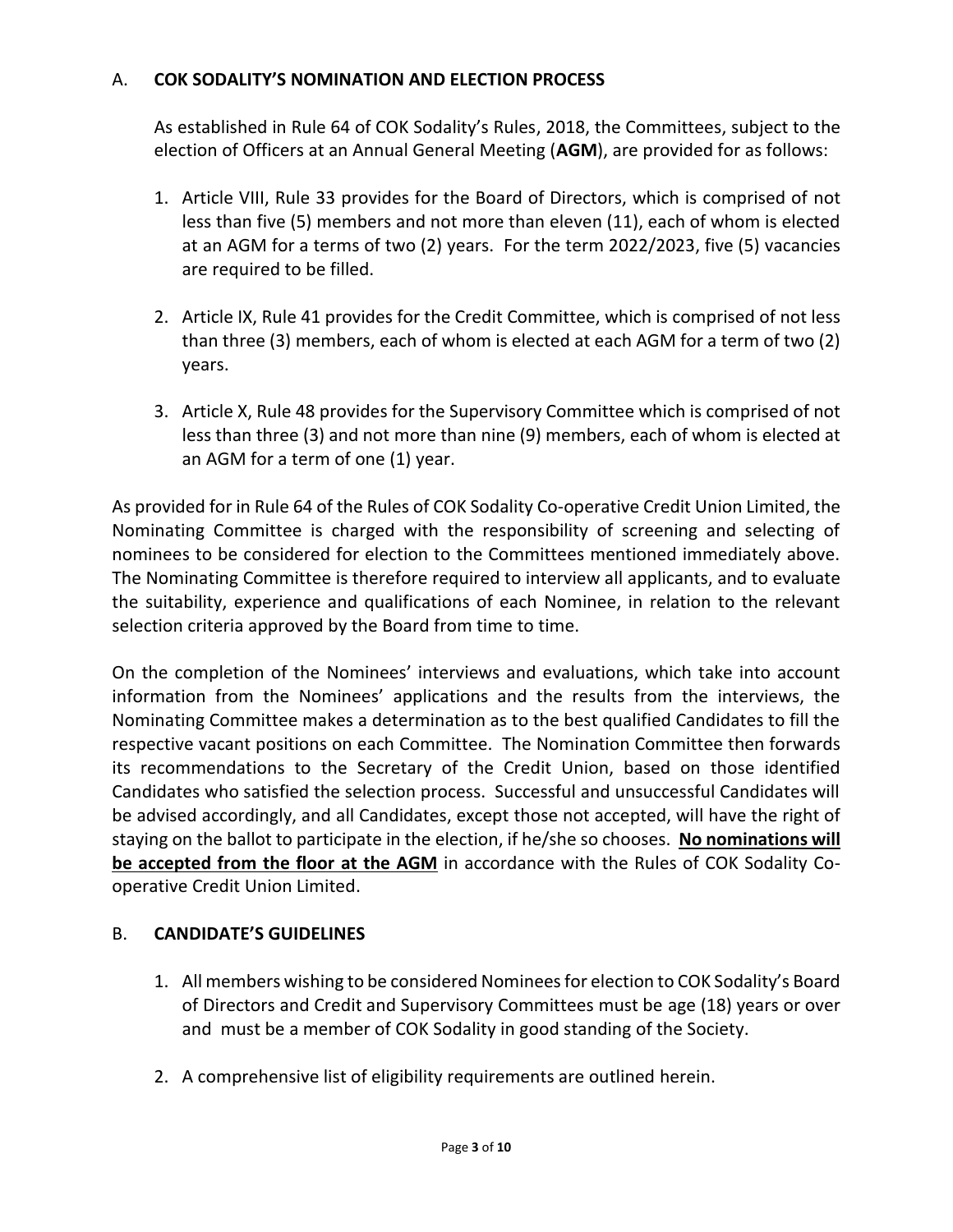### A. **COK SODALITY'S NOMINATION AND ELECTION PROCESS**

As established in Rule 64 of COK Sodality's Rules, 2018, the Committees, subject to the election of Officers at an Annual General Meeting (**AGM**), are provided for as follows:

- 1. Article VIII, Rule 33 provides for the Board of Directors, which is comprised of not less than five (5) members and not more than eleven (11), each of whom is elected at an AGM for a terms of two (2) years. For the term 2022/2023, five (5) vacancies are required to be filled.
- 2. Article IX, Rule 41 provides for the Credit Committee, which is comprised of not less than three (3) members, each of whom is elected at each AGM for a term of two (2) years.
- 3. Article X, Rule 48 provides for the Supervisory Committee which is comprised of not less than three (3) and not more than nine (9) members, each of whom is elected at an AGM for a term of one (1) year.

As provided for in Rule 64 of the Rules of COK Sodality Co-operative Credit Union Limited, the Nominating Committee is charged with the responsibility of screening and selecting of nominees to be considered for election to the Committees mentioned immediately above. The Nominating Committee is therefore required to interview all applicants, and to evaluate the suitability, experience and qualifications of each Nominee, in relation to the relevant selection criteria approved by the Board from time to time.

On the completion of the Nominees' interviews and evaluations, which take into account information from the Nominees' applications and the results from the interviews, the Nominating Committee makes a determination as to the best qualified Candidates to fill the respective vacant positions on each Committee. The Nomination Committee then forwards its recommendations to the Secretary of the Credit Union, based on those identified Candidates who satisfied the selection process. Successful and unsuccessful Candidates will be advised accordingly, and all Candidates, except those not accepted, will have the right of staying on the ballot to participate in the election, if he/she so chooses. **No nominations will be accepted from the floor at the AGM** in accordance with the Rules of COK Sodality Cooperative Credit Union Limited.

# B. **CANDIDATE'S GUIDELINES**

- 1. All members wishing to be considered Nominees for election to COK Sodality's Board of Directors and Credit and Supervisory Committees must be age (18) years or over and must be a member of COK Sodality in good standing of the Society.
- 2. A comprehensive list of eligibility requirements are outlined herein.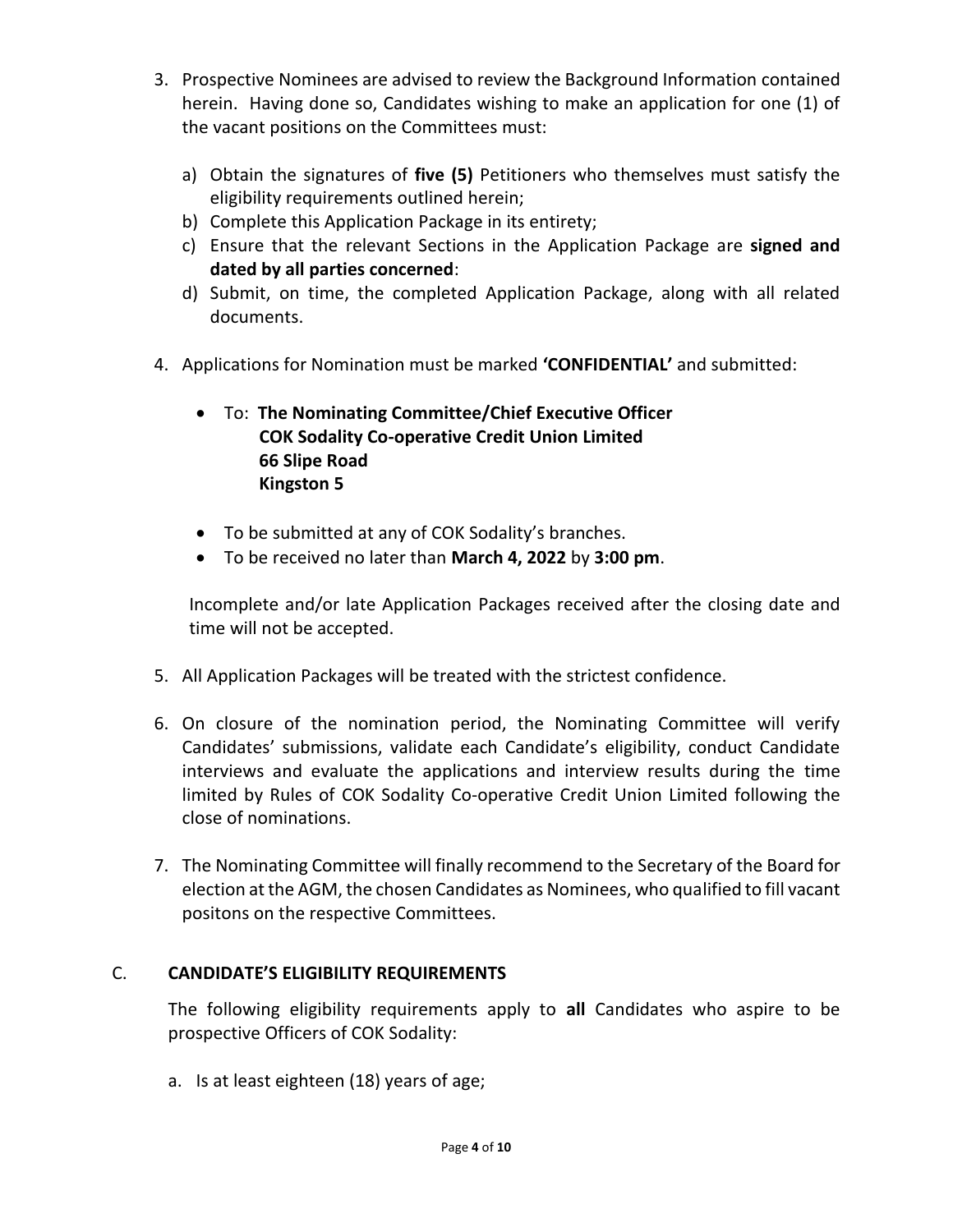- 3. Prospective Nominees are advised to review the Background Information contained herein. Having done so, Candidates wishing to make an application for one (1) of the vacant positions on the Committees must:
	- a) Obtain the signatures of **five (5)** Petitioners who themselves must satisfy the eligibility requirements outlined herein;
	- b) Complete this Application Package in its entirety;
	- c) Ensure that the relevant Sections in the Application Package are **signed and dated by all parties concerned**:
	- d) Submit, on time, the completed Application Package, along with all related documents.
- 4. Applications for Nomination must be marked **'CONFIDENTIAL'** and submitted:
	- To: **The Nominating Committee/Chief Executive Officer COK Sodality Co-operative Credit Union Limited 66 Slipe Road Kingston 5**
	- To be submitted at any of COK Sodality's branches.
	- To be received no later than **March 4, 2022** by **3:00 pm**.

Incomplete and/or late Application Packages received after the closing date and time will not be accepted.

- 5. All Application Packages will be treated with the strictest confidence.
- 6. On closure of the nomination period, the Nominating Committee will verify Candidates' submissions, validate each Candidate's eligibility, conduct Candidate interviews and evaluate the applications and interview results during the time limited by Rules of COK Sodality Co-operative Credit Union Limited following the close of nominations.
- 7. The Nominating Committee will finally recommend to the Secretary of the Board for election at the AGM, the chosen Candidates as Nominees, who qualified to fill vacant positons on the respective Committees.

# C. **CANDIDATE'S ELIGIBILITY REQUIREMENTS**

The following eligibility requirements apply to **all** Candidates who aspire to be prospective Officers of COK Sodality:

a. Is at least eighteen (18) years of age;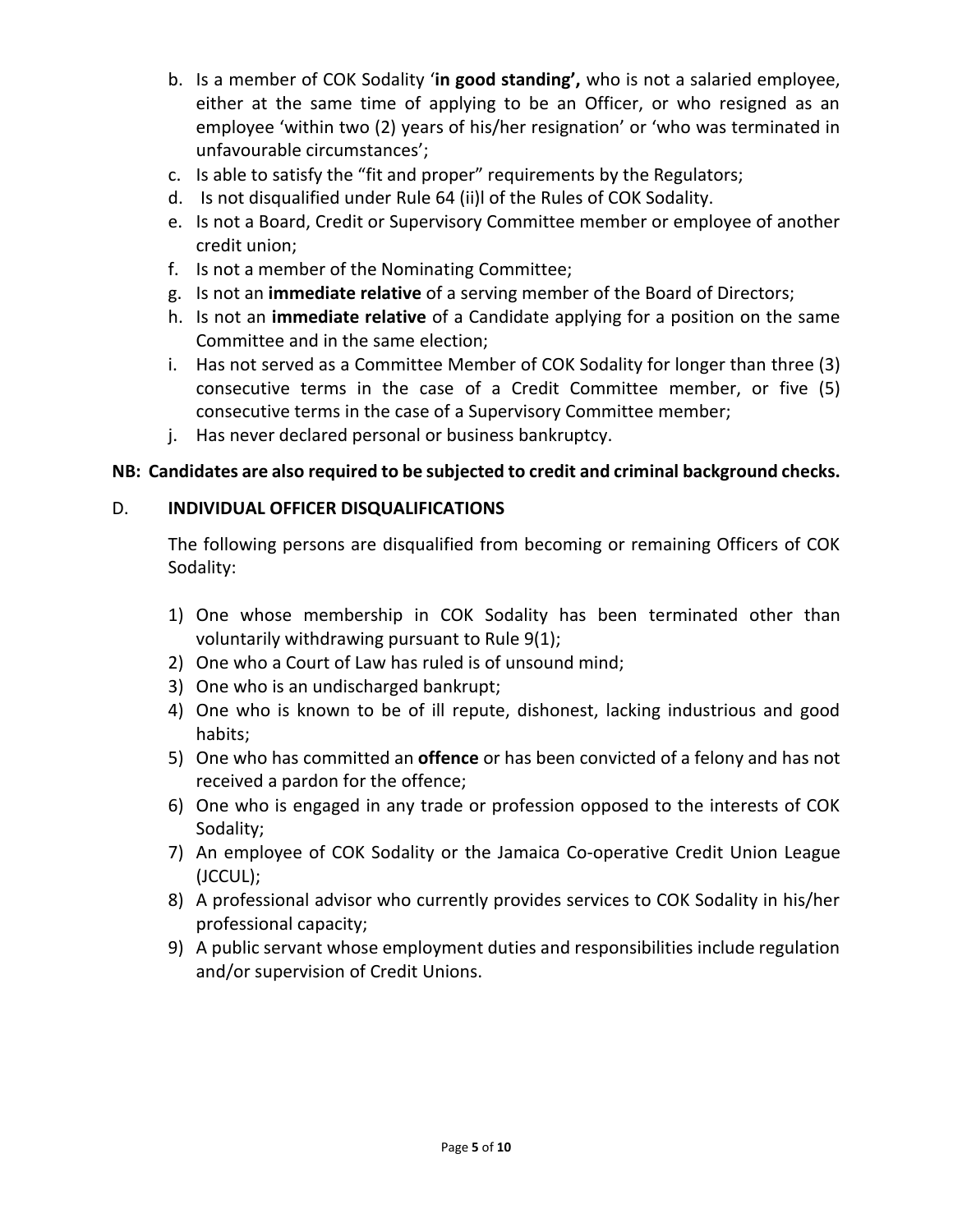- b. Is a member of COK Sodality '**in good standing',** who is not a salaried employee, either at the same time of applying to be an Officer, or who resigned as an employee 'within two (2) years of his/her resignation' or 'who was terminated in unfavourable circumstances';
- c. Is able to satisfy the "fit and proper" requirements by the Regulators;
- d. Is not disqualified under Rule 64 (ii)l of the Rules of COK Sodality.
- e. Is not a Board, Credit or Supervisory Committee member or employee of another credit union;
- f. Is not a member of the Nominating Committee;
- g. Is not an **immediate relative** of a serving member of the Board of Directors;
- h. Is not an **immediate relative** of a Candidate applying for a position on the same Committee and in the same election;
- i. Has not served as a Committee Member of COK Sodality for longer than three (3) consecutive terms in the case of a Credit Committee member, or five (5) consecutive terms in the case of a Supervisory Committee member;
- j. Has never declared personal or business bankruptcy.

# **NB: Candidates are also required to be subjected to credit and criminal background checks.**

# D. **INDIVIDUAL OFFICER DISQUALIFICATIONS**

The following persons are disqualified from becoming or remaining Officers of COK Sodality:

- 1) One whose membership in COK Sodality has been terminated other than voluntarily withdrawing pursuant to Rule 9(1);
- 2) One who a Court of Law has ruled is of unsound mind;
- 3) One who is an undischarged bankrupt;
- 4) One who is known to be of ill repute, dishonest, lacking industrious and good habits;
- 5) One who has committed an **offence** or has been convicted of a felony and has not received a pardon for the offence;
- 6) One who is engaged in any trade or profession opposed to the interests of COK Sodality;
- 7) An employee of COK Sodality or the Jamaica Co-operative Credit Union League (JCCUL);
- 8) A professional advisor who currently provides services to COK Sodality in his/her professional capacity;
- 9) A public servant whose employment duties and responsibilities include regulation and/or supervision of Credit Unions.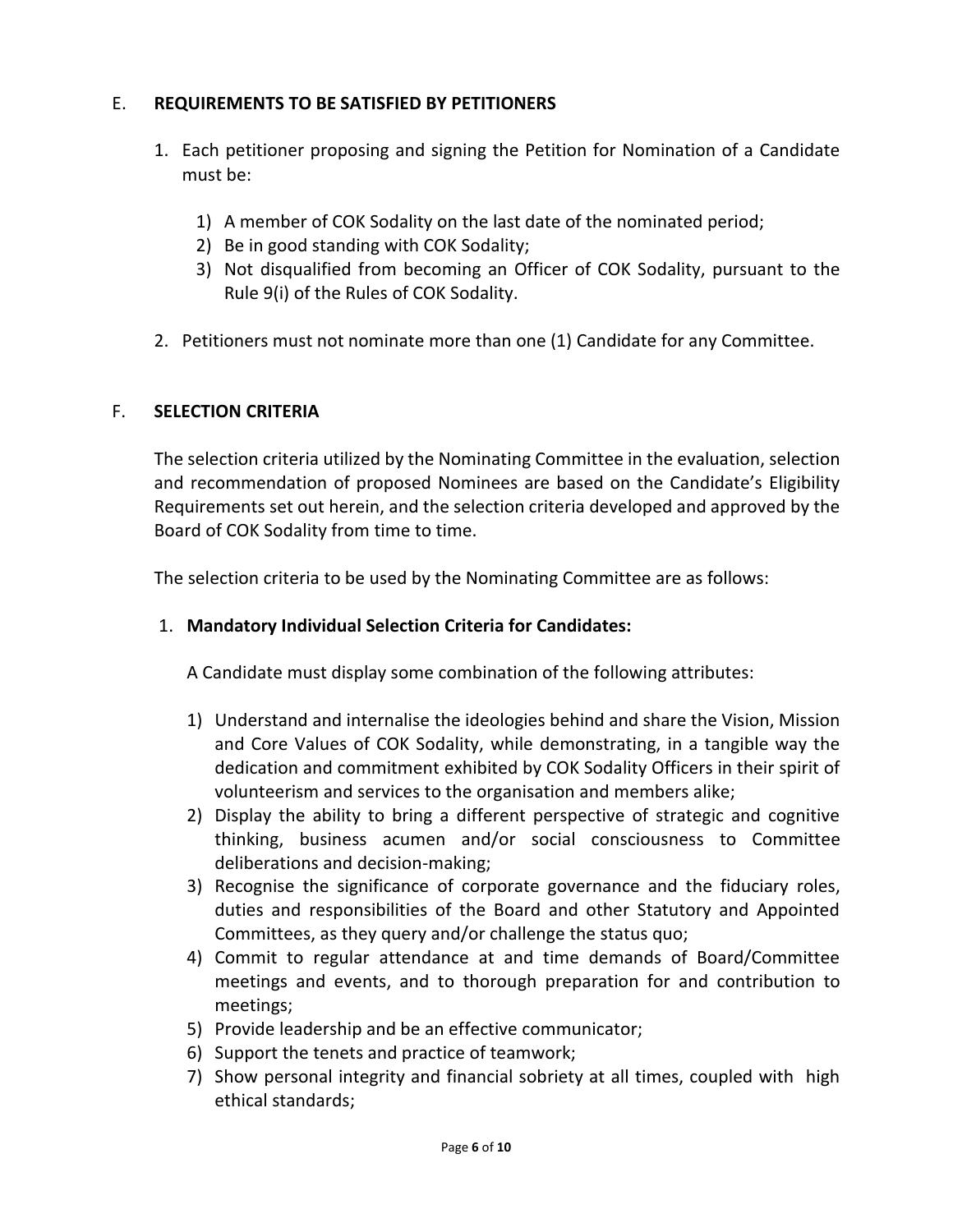## E. **REQUIREMENTS TO BE SATISFIED BY PETITIONERS**

- 1. Each petitioner proposing and signing the Petition for Nomination of a Candidate must be:
	- 1) A member of COK Sodality on the last date of the nominated period;
	- 2) Be in good standing with COK Sodality;
	- 3) Not disqualified from becoming an Officer of COK Sodality, pursuant to the Rule 9(i) of the Rules of COK Sodality.
- 2. Petitioners must not nominate more than one (1) Candidate for any Committee.

### F. **SELECTION CRITERIA**

The selection criteria utilized by the Nominating Committee in the evaluation, selection and recommendation of proposed Nominees are based on the Candidate's Eligibility Requirements set out herein, and the selection criteria developed and approved by the Board of COK Sodality from time to time.

The selection criteria to be used by the Nominating Committee are as follows:

### 1. **Mandatory Individual Selection Criteria for Candidates:**

A Candidate must display some combination of the following attributes:

- 1) Understand and internalise the ideologies behind and share the Vision, Mission and Core Values of COK Sodality, while demonstrating, in a tangible way the dedication and commitment exhibited by COK Sodality Officers in their spirit of volunteerism and services to the organisation and members alike;
- 2) Display the ability to bring a different perspective of strategic and cognitive thinking, business acumen and/or social consciousness to Committee deliberations and decision-making;
- 3) Recognise the significance of corporate governance and the fiduciary roles, duties and responsibilities of the Board and other Statutory and Appointed Committees, as they query and/or challenge the status quo;
- 4) Commit to regular attendance at and time demands of Board/Committee meetings and events, and to thorough preparation for and contribution to meetings;
- 5) Provide leadership and be an effective communicator;
- 6) Support the tenets and practice of teamwork;
- 7) Show personal integrity and financial sobriety at all times, coupled with high ethical standards;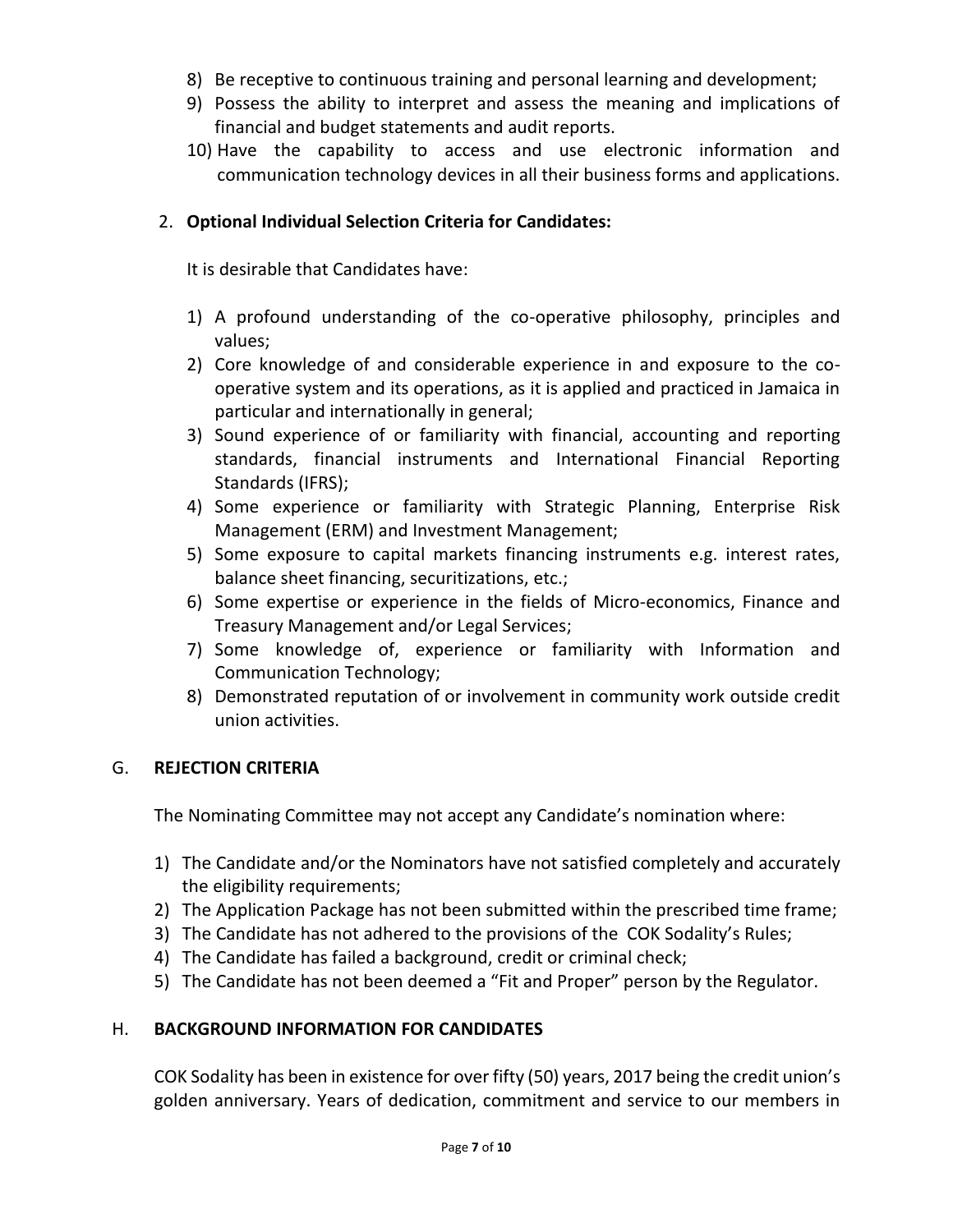- 8) Be receptive to continuous training and personal learning and development;
- 9) Possess the ability to interpret and assess the meaning and implications of financial and budget statements and audit reports.
- 10) Have the capability to access and use electronic information and communication technology devices in all their business forms and applications.

## 2. **Optional Individual Selection Criteria for Candidates:**

It is desirable that Candidates have:

- 1) A profound understanding of the co-operative philosophy, principles and values;
- 2) Core knowledge of and considerable experience in and exposure to the cooperative system and its operations, as it is applied and practiced in Jamaica in particular and internationally in general;
- 3) Sound experience of or familiarity with financial, accounting and reporting standards, financial instruments and International Financial Reporting Standards (IFRS);
- 4) Some experience or familiarity with Strategic Planning, Enterprise Risk Management (ERM) and Investment Management;
- 5) Some exposure to capital markets financing instruments e.g. interest rates, balance sheet financing, securitizations, etc.;
- 6) Some expertise or experience in the fields of Micro-economics, Finance and Treasury Management and/or Legal Services;
- 7) Some knowledge of, experience or familiarity with Information and Communication Technology;
- 8) Demonstrated reputation of or involvement in community work outside credit union activities.

# G. **REJECTION CRITERIA**

The Nominating Committee may not accept any Candidate's nomination where:

- 1) The Candidate and/or the Nominators have not satisfied completely and accurately the eligibility requirements;
- 2) The Application Package has not been submitted within the prescribed time frame;
- 3) The Candidate has not adhered to the provisions of the COK Sodality's Rules;
- 4) The Candidate has failed a background, credit or criminal check;
- 5) The Candidate has not been deemed a "Fit and Proper" person by the Regulator.

### H. **BACKGROUND INFORMATION FOR CANDIDATES**

COK Sodality has been in existence for over fifty (50) years, 2017 being the credit union's golden anniversary. Years of dedication, commitment and service to our members in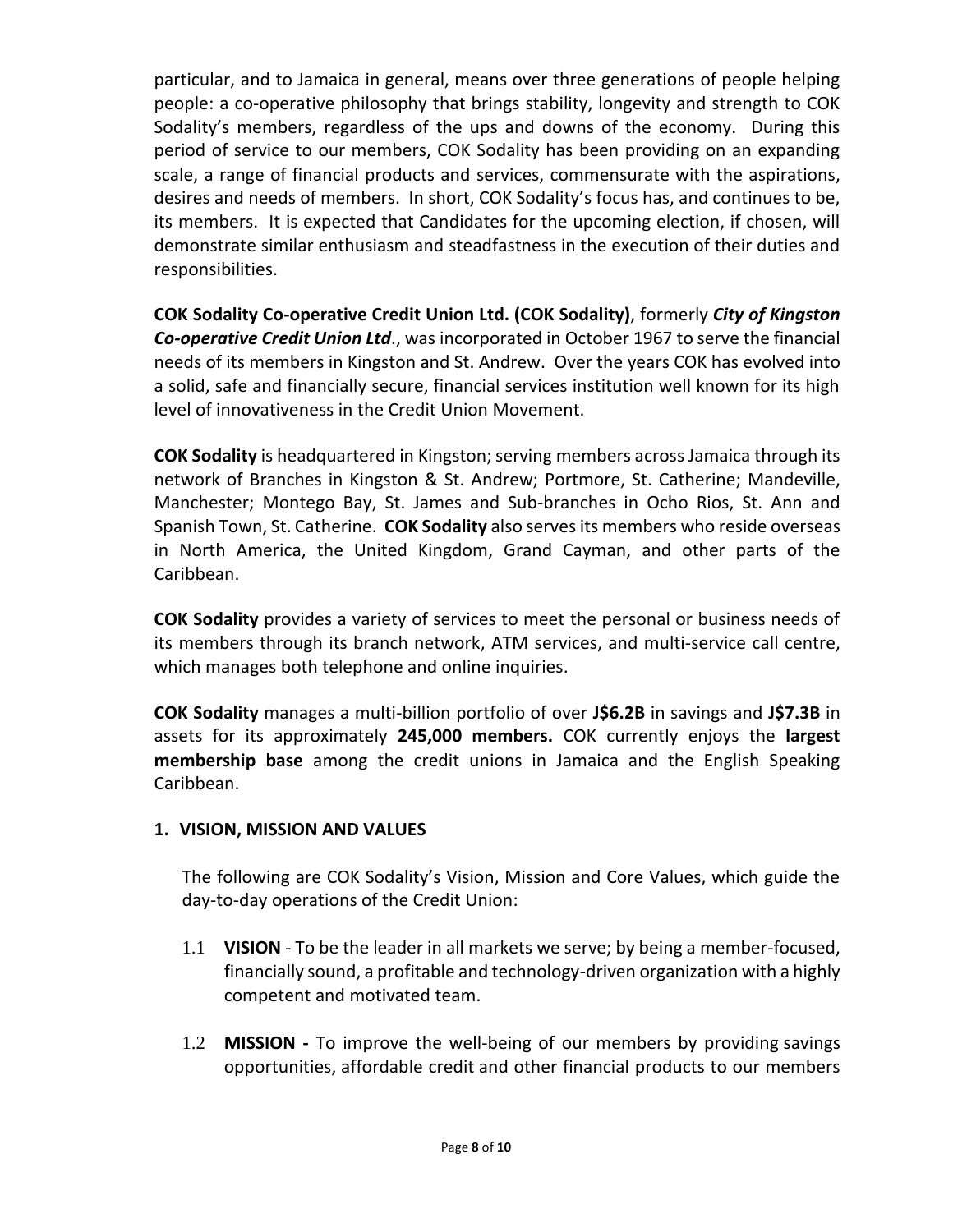particular, and to Jamaica in general, means over three generations of people helping people: a co-operative philosophy that brings stability, longevity and strength to COK Sodality's members, regardless of the ups and downs of the economy. During this period of service to our members, COK Sodality has been providing on an expanding scale, a range of financial products and services, commensurate with the aspirations, desires and needs of members. In short, COK Sodality's focus has, and continues to be, its members. It is expected that Candidates for the upcoming election, if chosen, will demonstrate similar enthusiasm and steadfastness in the execution of their duties and responsibilities.

**COK Sodality Co-operative Credit Union Ltd. (COK Sodality)**, formerly *City of Kingston Co-operative Credit Union Ltd*., was incorporated in October 1967 to serve the financial needs of its members in Kingston and St. Andrew. Over the years COK has evolved into a solid, safe and financially secure, financial services institution well known for its high level of innovativeness in the Credit Union Movement.

**COK Sodality** is headquartered in Kingston; serving members across Jamaica through its network of Branches in Kingston & St. Andrew; Portmore, St. Catherine; Mandeville, Manchester; Montego Bay, St. James and Sub-branches in Ocho Rios, St. Ann and Spanish Town, St. Catherine. **COK Sodality** also serves its members who reside overseas in North America, the United Kingdom, Grand Cayman, and other parts of the Caribbean.

**COK Sodality** provides a variety of services to meet the personal or business needs of its members through its branch network, ATM services, and multi-service call centre, which manages both telephone and online inquiries.

**COK Sodality** manages a multi-billion portfolio of over **J\$6.2B** in savings and **J\$7.3B** in assets for its approximately **245,000 members.** COK currently enjoys the **largest membership base** among the credit unions in Jamaica and the English Speaking Caribbean.

### **1. VISION, MISSION AND VALUES**

The following are COK Sodality's Vision, Mission and Core Values, which guide the day-to-day operations of the Credit Union:

- 1.1 **VISION** To be the leader in all markets we serve; by being a member-focused, financially sound, a profitable and technology-driven organization with a highly competent and motivated team.
- 1.2 **MISSION -** To improve the well-being of our members by providing savings opportunities, affordable credit and other financial products to our members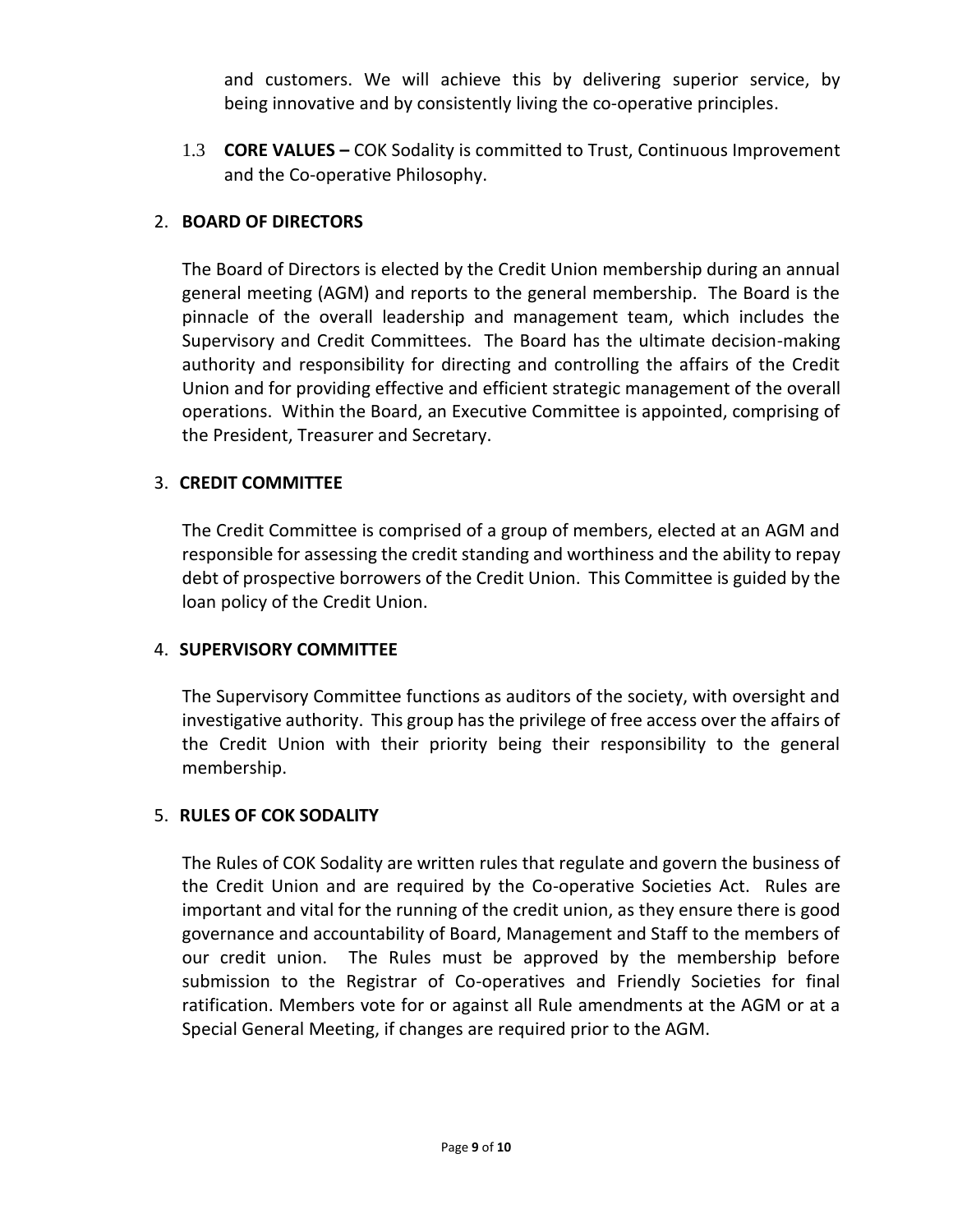and customers. We will achieve this by delivering superior service, by being innovative and by consistently living the co-operative principles.

1.3 **CORE VALUES –** COK Sodality is committed to Trust, Continuous Improvement and the Co-operative Philosophy.

# 2. **BOARD OF DIRECTORS**

The Board of Directors is elected by the Credit Union membership during an annual general meeting (AGM) and reports to the general membership. The Board is the pinnacle of the overall leadership and management team, which includes the Supervisory and Credit Committees. The Board has the ultimate decision-making authority and responsibility for directing and controlling the affairs of the Credit Union and for providing effective and efficient strategic management of the overall operations. Within the Board, an Executive Committee is appointed, comprising of the President, Treasurer and Secretary.

### 3. **CREDIT COMMITTEE**

The Credit Committee is comprised of a group of members, elected at an AGM and responsible for assessing the credit standing and worthiness and the ability to repay debt of prospective borrowers of the Credit Union. This Committee is guided by the loan policy of the Credit Union.

### 4. **SUPERVISORY COMMITTEE**

The Supervisory Committee functions as auditors of the society, with oversight and investigative authority. This group has the privilege of free access over the affairs of the Credit Union with their priority being their responsibility to the general membership.

### 5. **RULES OF COK SODALITY**

The Rules of COK Sodality are written rules that regulate and govern the business of the Credit Union and are required by the Co-operative Societies Act. Rules are important and vital for the running of the credit union, as they ensure there is good governance and accountability of Board, Management and Staff to the members of our credit union. The Rules must be approved by the membership before submission to the Registrar of Co-operatives and Friendly Societies for final ratification. Members vote for or against all Rule amendments at the AGM or at a Special General Meeting, if changes are required prior to the AGM.